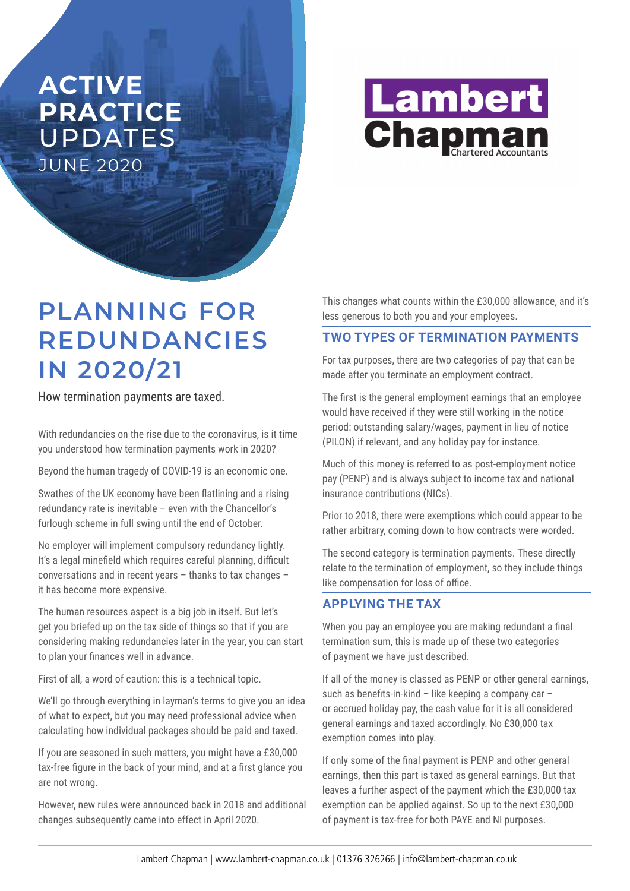# **ACTIVE PRACTICE**  UPDATES JUNE 2020



# **PLANNING FOR REDUNDANCIES IN 2020/21**

How termination payments are taxed.

With redundancies on the rise due to the coronavirus, is it time you understood how termination payments work in 2020?

Beyond the human tragedy of COVID-19 is an economic one.

Swathes of the UK economy have been flatlining and a rising redundancy rate is inevitable – even with the Chancellor's furlough scheme in full swing until the end of October.

No employer will implement compulsory redundancy lightly. It's a legal minefield which requires careful planning, difficult conversations and in recent years – thanks to tax changes – it has become more expensive.

The human resources aspect is a big job in itself. But let's get you briefed up on the tax side of things so that if you are considering making redundancies later in the year, you can start to plan your finances well in advance.

First of all, a word of caution: this is a technical topic.

We'll go through everything in layman's terms to give you an idea of what to expect, but you may need professional advice when calculating how individual packages should be paid and taxed.

If you are seasoned in such matters, you might have a £30,000 tax-free figure in the back of your mind, and at a first glance you are not wrong.

However, new rules were announced back in 2018 and additional changes subsequently came into effect in April 2020.

This changes what counts within the £30,000 allowance, and it's less generous to both you and your employees.

## **TWO TYPES OF TERMINATION PAYMENTS**

For tax purposes, there are two categories of pay that can be made after you terminate an employment contract.

The first is the general employment earnings that an employee would have received if they were still working in the notice period: outstanding salary/wages, payment in lieu of notice (PILON) if relevant, and any holiday pay for instance.

Much of this money is referred to as post-employment notice pay (PENP) and is always subject to income tax and national insurance contributions (NICs).

Prior to 2018, there were exemptions which could appear to be rather arbitrary, coming down to how contracts were worded.

The second category is termination payments. These directly relate to the termination of employment, so they include things like compensation for loss of office.

### **APPLYING THE TAX**

When you pay an employee you are making redundant a final termination sum, this is made up of these two categories of payment we have just described.

If all of the money is classed as PENP or other general earnings, such as benefits-in-kind – like keeping a company car – or accrued holiday pay, the cash value for it is all considered general earnings and taxed accordingly. No £30,000 tax exemption comes into play.

If only some of the final payment is PENP and other general earnings, then this part is taxed as general earnings. But that leaves a further aspect of the payment which the £30,000 tax exemption can be applied against. So up to the next £30,000 of payment is tax-free for both PAYE and NI purposes.